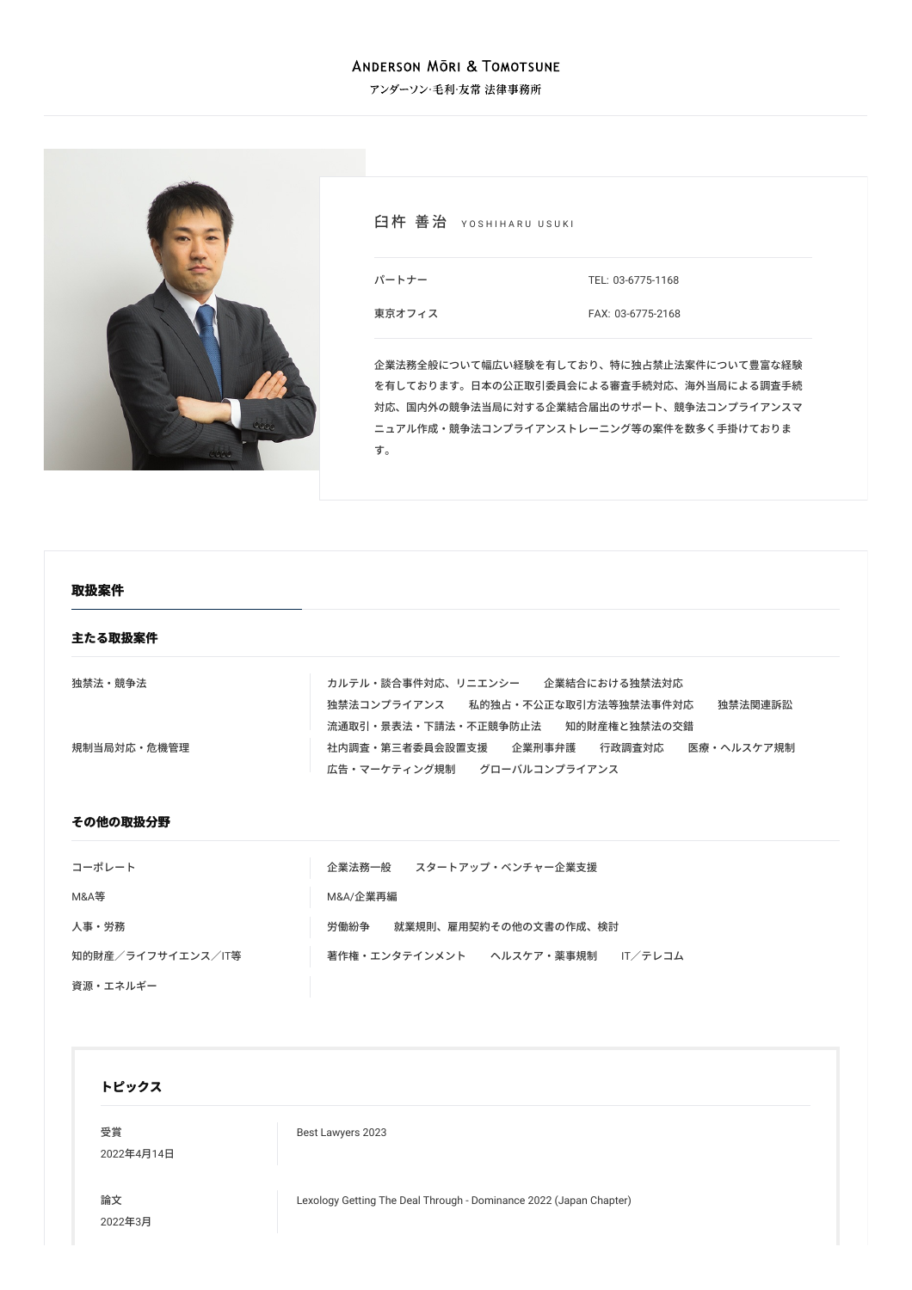#### **ANDERSON MÖRI & TOMOTSUNE**

アンダーソン・毛利・友常 法律事務所



白杵 善治 YOSHIHARU USUKI

パートナー

[東京オフィス](/locations/tokyo)

TEL: [03-6775-1168](tel:03-6775-1168) FAX: 03-6775-2168

企業法務全般について幅広い経験を有しており、特に独占禁⽌法案件について豊富な経験 を有しております。日本の公正取引委員会による審査手続対応、海外当局による調査手続 対応、国内外の競争法当局に対する企業結合届出のサポート、競争法コンプライアンスマ ニュアル作成・競争法コンプライアンストレーニング等の案件を数多く手掛けておりま す。

| 取扱案件        |                                                                                                                          |
|-------------|--------------------------------------------------------------------------------------------------------------------------|
| 主たる取扱案件     |                                                                                                                          |
| 独禁法・競争法     | カルテル・談合事件対応、リニエンシー 企業結合における独禁法対応<br>独禁法コンプライアンス 私的独占・不公正な取引方法等独禁法事件対応<br>独禁法関連訴訟<br>流通取引・景表法・下請法・不正競争防止法<br>知的財産権と独禁法の交錯 |
| 規制当局対応・危機管理 | 社内調査・第三者委員会設置支援<br>企業刑事弁護<br>行政調査対応<br>医療・ヘルスケア規制<br>広告・マーケティング規制 グローバルコンプライアンス                                          |
| その他の取扱分野    |                                                                                                                          |
| コーポレート      | 企業法務一般――スタートアップ・ベンチャー企業支援                                                                                                |

| コーハレード            | 止未/ム/坊 ̄  双 スメートノッノ・ハンナ Y  ̄止未乂抜    |
|-------------------|-------------------------------------|
| M&A等              | M&A/企業再編                            |
| 人事・労務             | 就業規則、雇用契約その他の文書の作成、検討<br>労働紛争       |
| 知的財産/ライフサイエンス/IT等 | 著作権・エンタテインメント ヘルスケア・薬事規制<br>IT/テレコム |
| 資源・エネルギー          |                                     |

#### **トピックス**

[受賞](/news/achievements/) 2022年4⽉14⽇ Best [Lawyers](/news/detail/news_0024839_ja_001) 2023

[論⽂](/publications/articles/) 2022年3⽉ Lexology Getting The Deal Through - [Dominance](/publications/detail/publication_0024535_ja_001) 2022 (Japan Chapter)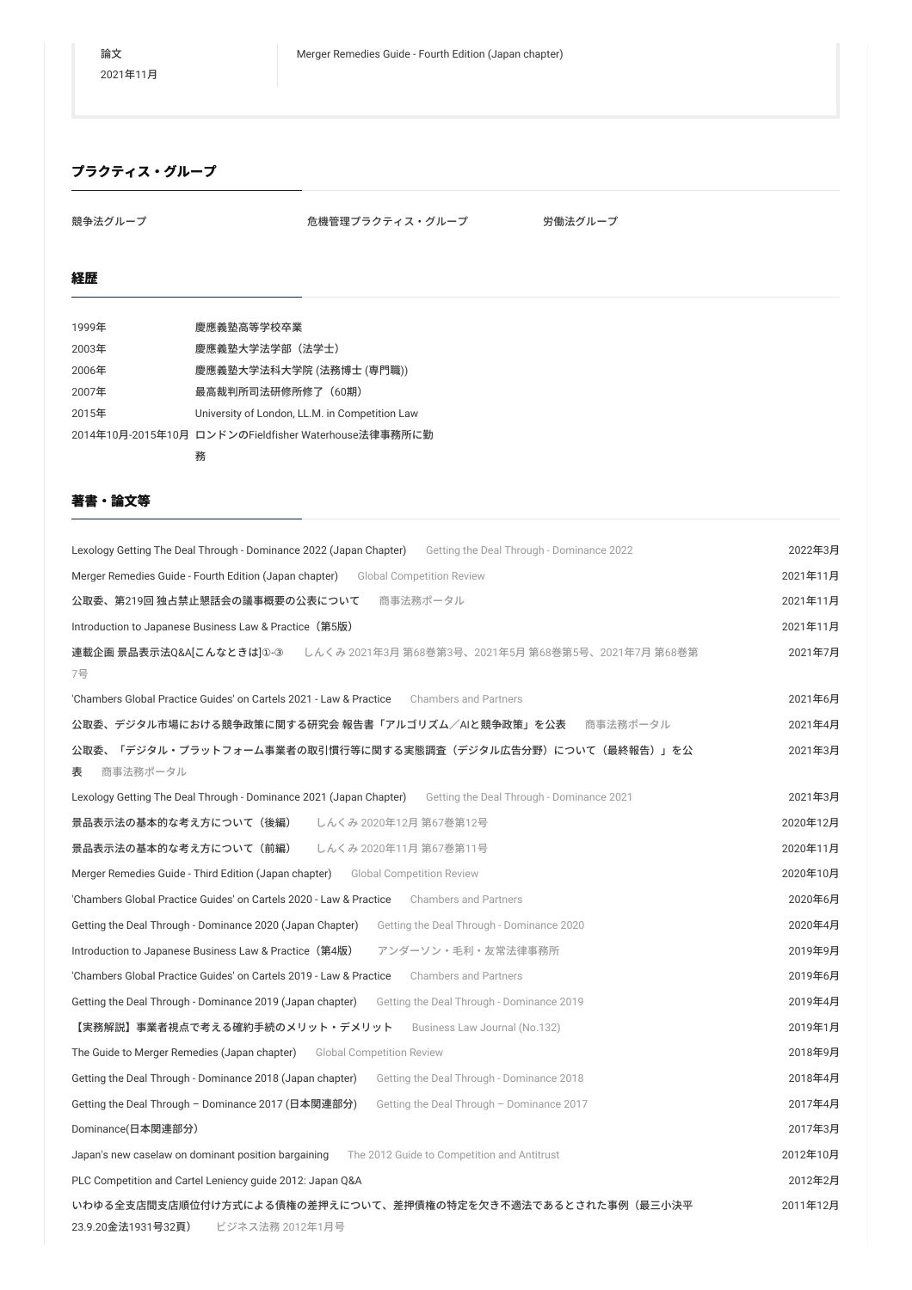# **プラクティス・グループ**

競争法グループ おおもの おおし おいをおく た機管理プラクティス・グループ おくら 労働法グループ

## **経歴**

|       | 務                                                    |
|-------|------------------------------------------------------|
|       | 2014年10月-2015年10月 ロンドンのFieldfisher Waterhouse法律事務所に勤 |
| 2015年 | University of London, LL.M. in Competition Law       |
| 2007年 | 最高裁判所司法研修所修了(60期)                                    |
| 2006年 | 慶應義塾大学法科大学院 (法務博士 (専門職))                             |
| 2003年 | 慶應義塾大学法学部(法学士)                                       |
| 1999年 | 慶應義塾高等学校卒業                                           |

# **著書・論⽂等**

| Lexology Getting The Deal Through - Dominance 2022 (Japan Chapter)<br>Getting the Deal Through - Dominance 2022 | 2022年3月  |  |
|-----------------------------------------------------------------------------------------------------------------|----------|--|
| Merger Remedies Guide - Fourth Edition (Japan chapter) Global Competition Review                                | 2021年11月 |  |
| 商事法務ポータル<br>公取委、第219回 独占禁止懇話会の議事概要の公表について                                                                       | 2021年11月 |  |
| Introduction to Japanese Business Law & Practice (第5版)                                                          | 2021年11月 |  |
| 連載企画 景品表示法Q&A[こんなときは]①-③ Lんくみ 2021年3月 第68巻第3号、2021年5月 第68巻第5号、2021年7月 第68巻第<br>7号                               | 2021年7月  |  |
| 'Chambers Global Practice Guides' on Cartels 2021 - Law & Practice<br><b>Chambers and Partners</b>              | 2021年6月  |  |
| 公取委、デジタル市場における競争政策に関する研究会 報告書「アルゴリズム/AIと競争政策」を公表<br>商事法務ポータル                                                    | 2021年4月  |  |
| 公取委、「デジタル・プラットフォーム事業者の取引慣行等に関する実態調査(デジタル広告分野)について(最終報告)」を公<br>商事法務ポータル<br>表                                     | 2021年3月  |  |
| Lexology Getting The Deal Through - Dominance 2021 (Japan Chapter) Getting the Deal Through - Dominance 2021    | 2021年3月  |  |
| 景品表示法の基本的な考え方について(後編)<br>しんくみ 2020年12月 第67巻第12号                                                                 | 2020年12月 |  |
| しんくみ 2020年11月 第67巻第11号<br>景品表示法の基本的な考え方について(前編)                                                                 | 2020年11月 |  |
| <b>Merger Remedies Guide - Third Edition (Japan chapter)</b> Global Competition Review                          | 2020年10月 |  |
| 'Chambers Global Practice Guides' on Cartels 2020 - Law & Practice Chambers and Partners                        | 2020年6月  |  |
| Getting the Deal Through - Dominance 2020 (Japan Chapter)<br>Getting the Deal Through - Dominance 2020          | 2020年4月  |  |
| アンダーソン・毛利・友常法律事務所<br>Introduction to Japanese Business Law & Practice (第4版)                                     | 2019年9月  |  |
| 'Chambers Global Practice Guides' on Cartels 2019 - Law & Practice<br><b>Chambers and Partners</b>              | 2019年6月  |  |
| Getting the Deal Through - Dominance 2019 (Japan chapter)<br>Getting the Deal Through - Dominance 2019          | 2019年4月  |  |
| 【実務解説】事業者視点で考える確約手続のメリット・デメリット<br>Business Law Journal (No.132)                                                 | 2019年1月  |  |
| The Guide to Merger Remedies (Japan chapter) Global Competition Review                                          | 2018年9月  |  |
| Getting the Deal Through - Dominance 2018 (Japan chapter)<br>Getting the Deal Through - Dominance 2018          | 2018年4月  |  |
| Getting the Deal Through - Dominance 2017 (日本関連部分)<br>Getting the Deal Through - Dominance 2017                 | 2017年4月  |  |
| Dominance(日本関連部分)                                                                                               | 2017年3月  |  |
| Japan's new caselaw on dominant position bargaining The 2012 Guide to Competition and Antitrust                 | 2012年10月 |  |
| PLC Competition and Cartel Leniency guide 2012: Japan Q&A                                                       |          |  |
| いわゆる全支店間支店順位付け方式による債権の差押えについて、差押債権の特定を欠き不適法であるとされた事例(最三小決平                                                      | 2011年12月 |  |
| 23.9.20金法1931号32頁)<br>ビジネス法務 2012年1月号                                                                           |          |  |